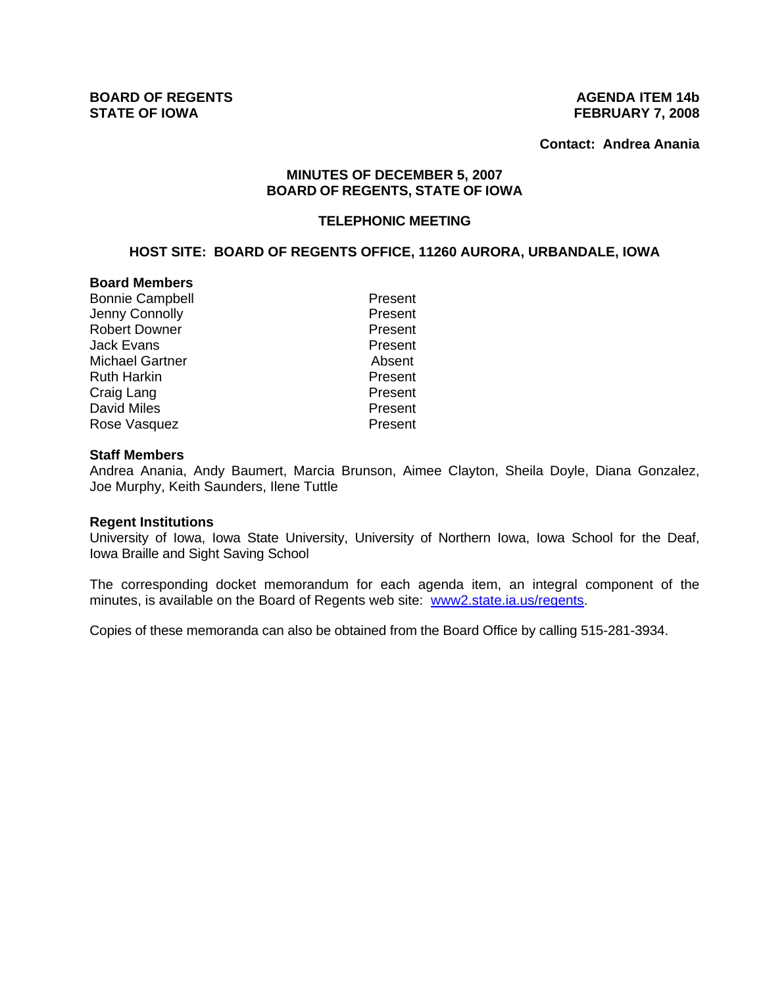**Contact: Andrea Anania**

## **MINUTES OF DECEMBER 5, 2007 BOARD OF REGENTS, STATE OF IOWA**

### **TELEPHONIC MEETING**

# **HOST SITE: BOARD OF REGENTS OFFICE, 11260 AURORA, URBANDALE, IOWA**

## **Board Members**

Bonnie Campbell **Present** Jenny Connolly **Access 20 Figure 2018** Present Robert Downer **Present** Jack Evans Present Michael Gartner **Absent** Ruth Harkin **Present** Craig Lang **Present** David Miles **Present** Rose Vasquez **Present** 

#### **Staff Members**

Andrea Anania, Andy Baumert, Marcia Brunson, Aimee Clayton, Sheila Doyle, Diana Gonzalez, Joe Murphy, Keith Saunders, Ilene Tuttle

#### **Regent Institutions**

University of Iowa, Iowa State University, University of Northern Iowa, Iowa School for the Deaf, Iowa Braille and Sight Saving School

The corresponding docket memorandum for each agenda item, an integral component of the minutes, is available on the Board of Regents web site: www2.state.ia.us/regents.

Copies of these memoranda can also be obtained from the Board Office by calling 515-281-3934.